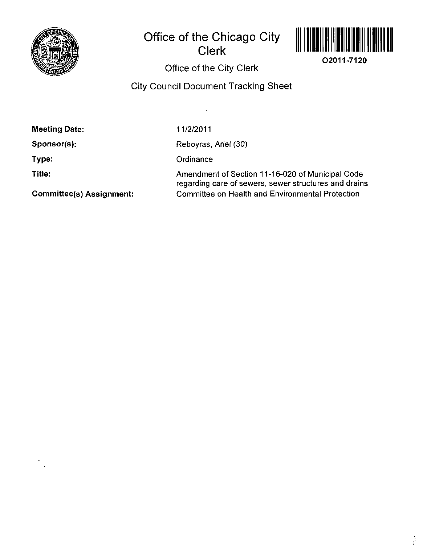

# Office of the Chicago City Clerk



**02011-7120** 

Office of the City Clerk

## City Council Document Tracking Sheet

 $\overline{a}$ 

11/2/2011

Sponsor(s):

Type:

Title:

Reboyras. Ariel (30)

**Ordinance** 

Amendment of Section 11-16-020 of Municipal Code regarding care of sewers, sewer structures and drains Committee on Health and Environmental Protection

Committee(s) Assignment: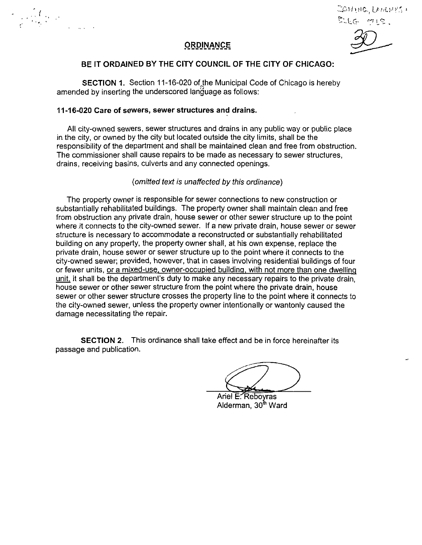$\frac{1}{\mathcal{C}}\left(\frac{1}{\mathcal{C}}\right)^{1/2}\left(\frac{1}{\mathcal{C}}\right)^{1/2}$ 

Zontho, Lempes : D.LG 915.

## **ORDJNANCE**

### **BE IT ORDAINED BY THE CITY COUNCIL OF THE CITY OF CHICAGO:**

SECTION 1. Section 11-16-020 of the Municipal Code of Chicago is hereby amended by inserting the underscored language as follows:

### **11-16-020 Care of sewers, sewer structures and drains.**

All city-owned sewers, sewer structures and drains in any public way or public place in the city, or owned by the city but located outside the city limits, shall be the responsibility of the department and shall be maintained clean and free from obstrucfion. The commissioner shall cause repairs to be made as necessary to sewer structures, drains, receiving basins, culverts and any connected openings.

### {omitted text is unaffected by this ordinance)

The property owner is responsible for sewer connections to new construction or substantially rehabilitated buildings. The property owner shall maintain clean and free from obstrucfion any private drain, house sewer or other sewer structure up to the point where it connects to the city-owned sewer. If a new private drain, house sewer or sewer structure is necessary to accommodate a reconstructed or substantially rehabilitated building on any property, the property owner shall, at his own expense, replace the private drain, house sewer or sewer structure up to the point where it connects to the city-owned sewer; provided, however, that in cases involving residential buildings of four or fewer units, or a mixed-use, owner-occupied building, with not more than one dwelling unit, it shall be the department's duty to make any necessary repairs to the private drain, house sewer or other sewer structure from the point where the private drain, house sewer or other sewer structure crosses the property line to the point where it connects to the city-owned sewer, unless the property owner intentionally or wantonly caused the damage necessitating the repair.

SECTION 2. This ordinance shall take effect and be in force hereinafter its passage and publication.

Ariel E. Reboyras Alderman, 30<sup>th</sup> Ward